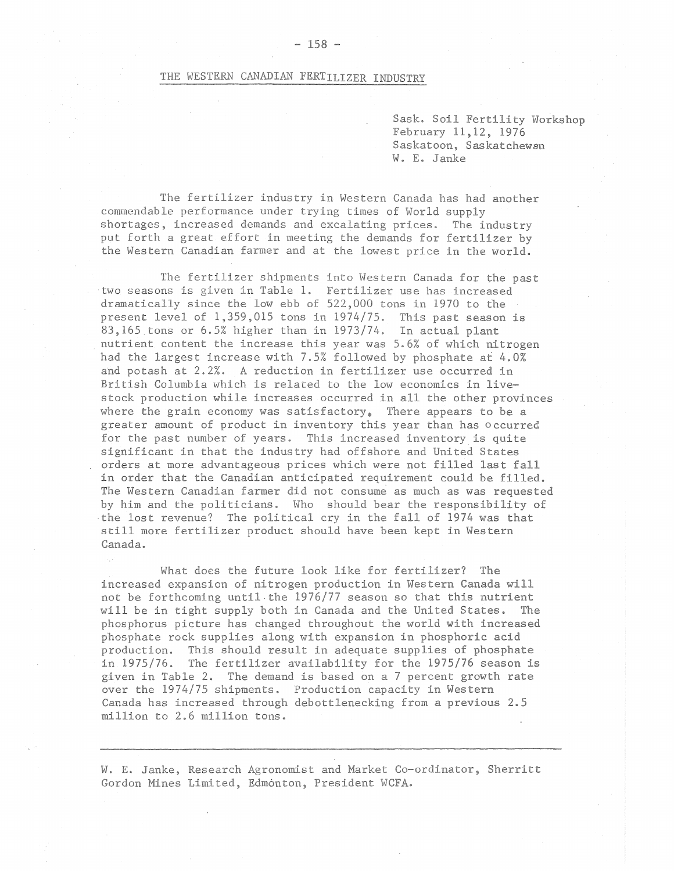## THE WESTERN CANADIAN FERTILIZER INDUSTRY

Sask. Soil Fertility Workshop February 11,12, 1976 Saskatoon, Saskatchewan W. E. Janke

The fertilizer industry in Western Canada has had another commendable performance under trying times of World supply shortages, increased demands and excalating prices. The industry put forth a great effort in meeting the demands for fertilizer by the Western Canadian farmer and at the lowest price in the world.

The fertilizer shipments into Western Canada for the past two seasons is given in Table 1. Fertilizer use has increased dramatically since the low ebb of 522,000 tons in 1970 to the present level of 1,359,015 tons in 1974/75. This past season is 83,165 tons or 6.5% higher than in 1973/74. In actual plant nutrient content the increase this year was 5.6% of which nitrogen had the largest increase with 7.5% followed by phosphate at 4.0% and potash at 2.2%. A reduction in fertilizer use occurred in British Columbia which is related to the low economics in livestock production while increases occurred in all the other provinces where the grain economy was satisfactory, There appears to be a greater amount of product in inventory this year than has occurred for the past number of years. This increased inventory is quite significant in that the industry had offshore and United States orders at more advantageous prices which were not filled last fall in order that the Canadian anticipated requirement could be filled. The Western Canadian farmer did not consume as much as was requested by him and the politicians. Who should bear the responsibility of the lost revenue? The political cry in the fall of 1974 was that still more fertilizer product should have been kept in Western Canada.

What does the future look like for fertilizer? The increased expansion of nitrogen production in Western Canada will not be forthcoming until the 1976/77 season so that this nutrient will be in tight supply both in Canada and the United States. The phosphorus picture has changed throughout the world with increased phosphate rock supplies along with expansion in phosphoric acid production. This should result in adequate supplies of phosphate in 1975/76. The fertilizer availability for the 1975/76 season is given in Table 2. The demand is based on a 7 percent growth rate over the 1974/75 shipments. Production capacity in Western Canada has increased through debottlenecking from a previous 2.5 million to 2.6 million tons.

W. E. Janke, Research Agronomist and Market Co-ordinator, Sherritt Gordon Mines Limited, Edmonton, President WCFA.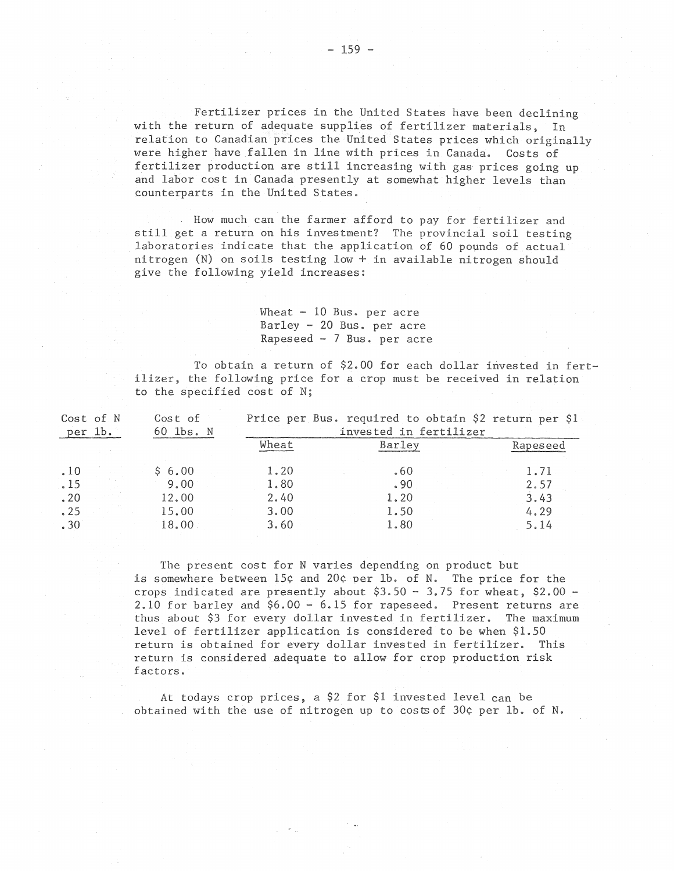Fertilizer prices in the United States have been declining with the return of adequate supplies of fertilizer materials, In relation to Canadian prices the United States prices which originally were higher have fallen in line with prices in Canada. Costs of fertilizer production are still increasing with gas prices going up and labor cost in Canada presently at somewhat higher levels than counterparts in the United States.

How much can the farmer afford to pay for fertilizer and still get a return on his investment? The provincial soil testing laboratories indicate that the application of 60 pounds of actual nitrogen (N) on soils testing low+ in available nitrogen should give the following yield increases:

> Wheat  $-10$  Bus. per acre Barley - 20 Bus. per acre Rapeseed - 7 Bus. per acre

To obtain a return of \$2.00 for each dollar invested in fertilizer, the following price for a crop must be received in relation to the specified cost of N;

| per 1b. | Cost of N | Cost of<br>60 lbs. N | Price per Bus. required to obtain \$2 return per \$1<br>invested in fertilizer |        |          |  |  |  |  |
|---------|-----------|----------------------|--------------------------------------------------------------------------------|--------|----------|--|--|--|--|
|         |           |                      | Wheat                                                                          | Barley | Rapeseed |  |  |  |  |
| .10     |           | \$6.00               | 1.20                                                                           | .60    | 1.71     |  |  |  |  |
| .15     |           | 9.00                 | 1.80                                                                           | . 90   | 2.57     |  |  |  |  |
| .20     |           | 12.00                | 2.40                                                                           | 1.20   | 3.43     |  |  |  |  |
| .25     |           | 15.00                | 3.00                                                                           | 1.50   | 4.29     |  |  |  |  |
| .30     |           | 18.00                | 3.60                                                                           | 1.80   | 5.14     |  |  |  |  |
|         |           |                      |                                                                                |        |          |  |  |  |  |

The present cost for N varies depending on product but is somewhere between 15¢ and 20¢ oer lb. of N. The price for the crops indicated are presently about  $$3.50 - 3.75$  for wheat,  $$2.00 -$ 2.10 for barley and \$6.00- 6.15 for rapeseed. Present returns are thus about \$3 for every dollar invested in fertilizer. The maximum level of fertilizer application is considered to be when \$1.50 return is obtained for every dollar invested in fertilizer. This return is considered adequate to allow for crop production risk factors.

At todays crop prices, a \$2 for \$1 invested level can be obtained with the use of nitrogen up to costs of  $30¢$  per lb. of N.

. ..

 $- 159 -$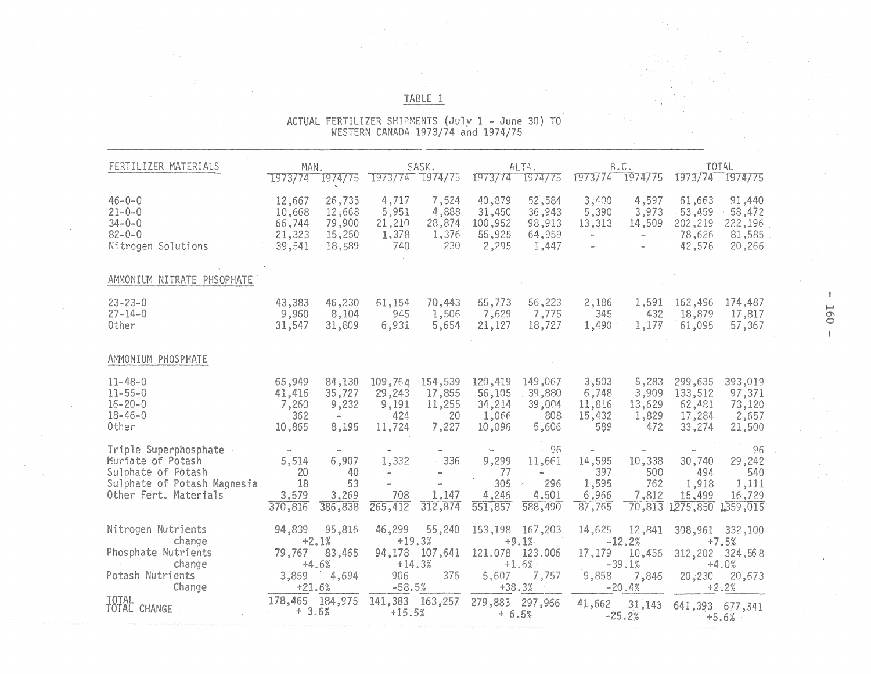|                                                                                                                          |                                                         |                                                      |                                                             |                                                         | WESTERN CANADA 1973/74 and 1974/75                                   |                                                                               |                                                               |                                                               |                                                  |                                                                               |                            |
|--------------------------------------------------------------------------------------------------------------------------|---------------------------------------------------------|------------------------------------------------------|-------------------------------------------------------------|---------------------------------------------------------|----------------------------------------------------------------------|-------------------------------------------------------------------------------|---------------------------------------------------------------|---------------------------------------------------------------|--------------------------------------------------|-------------------------------------------------------------------------------|----------------------------|
| FERTILIZER MATERIALS                                                                                                     | MAN.                                                    | 1973/74 1974/75                                      |                                                             | SASK.<br>1973/74 1974/75                                |                                                                      | ALTA.<br>1973/74 1974/75                                                      |                                                               | B.C.<br>1973/74 1974/75                                       |                                                  | <b>TOTAL</b><br>1973/74 1974/75                                               |                            |
| $46 - 0 - 0$<br>$21 - 0 - 0$<br>$34 - 0 - 0$<br>$82 - 0 - 0$<br>Nitrogen Solutions                                       | 12,667<br>10,668<br>66,744<br>21,323<br>39,541          | 26,735<br>12,668<br>79,900<br>15,250<br>18,589       | 4,717<br>5,951<br>21,210<br>1,378<br>740                    | 7,524<br>4,888<br>28,874<br>1,376<br>230                | 40,879<br>31,450<br>100,952<br>55,925<br>2,295                       | 52,584<br>36,943<br>98,913<br>64,959<br>1,447                                 | 3,400<br>5,390<br>13,313<br>$\sim$<br>m.                      | 4,597<br>3,973<br>14,509<br>$_{\rm em}$                       | 61,663<br>53,459<br>202,219<br>78,626<br>42,576  | 91,440<br>58,472<br>222,196<br>81,585<br>20,266                               |                            |
| AMMONIUM NITRATE PHSOPHATE                                                                                               |                                                         |                                                      |                                                             |                                                         |                                                                      |                                                                               |                                                               |                                                               |                                                  |                                                                               |                            |
| $23 - 23 - 0$<br>$27 - 14 - 0$<br>Other                                                                                  | 43,383<br>9,960<br>31,547                               | 46,230<br>8,104<br>31,809                            | 61,154<br>945<br>6,931                                      | 70,443<br>1,506<br>5,654                                | 55,773<br>7,629<br>21,127                                            | 56,223<br>7,775<br>18,727                                                     | 2,186<br>345<br>1,490                                         | 1,591<br>432<br>1,177                                         | 162,496<br>18,879<br>61,095                      | 174,487<br>17,817<br>57,367                                                   | <b>160</b><br>$\mathbf{I}$ |
| AMMONIUM PHOSPHATE                                                                                                       |                                                         |                                                      |                                                             |                                                         |                                                                      |                                                                               |                                                               |                                                               |                                                  |                                                                               |                            |
| $11 - 48 - 0$<br>$11 - 55 - 0$<br>$16 - 20 - 0$<br>$18 - 46 - 0$<br>Other                                                | 65,949<br>41,416<br>7,260<br>362<br>10,865              | 84,130<br>35,727<br>9,232<br>$\sim$<br>8,195         | 109,764<br>29,243<br>9,191<br>424<br>11,724                 | 154,539<br>17,855<br>11,255<br>20<br>7,227              | 120,419<br>56,105<br>34,214<br>1,066<br>10,096                       | 149,067<br>39,880<br>39,004<br>808<br>5,606                                   | 3,503<br>6,748<br>11,816<br>15,432<br>589                     | 5,283<br>3,909<br>13,629<br>1,829<br>472                      | 299,635<br>133,512<br>62,481<br>17,284<br>33,274 | 393,019<br>97,371<br>73,120<br>2,657<br>21,500                                |                            |
| Triple Superphosphate<br>Muriate of Potash<br>Sulphate of Potash<br>Sulphate of Potash Magnesia<br>Other Fert. Materials | $\alpha\alpha$<br>5,514<br>20<br>18<br>3,579<br>370,816 | $_{\rm em}$<br>6,907<br>40<br>53<br>3,269<br>386,838 | up,<br>1,332<br>$_{\rm{ex}}$<br>$\bar{a}$<br>708<br>265,412 | 336<br>1,147<br>312,874                                 | $\mathcal{L}_{\text{max}}$<br>9,299<br>77<br>305<br>4,246<br>551,857 | 96<br>11,661<br>$_{\rm orb}$<br>296<br>4,501<br>588,490                       | $\omega_{\rm B}$<br>14,595<br>397<br>1,595<br>6,966<br>87,765 | $\blacksquare$<br>10,338<br>500<br>762<br>7,812<br>70,813     | 30,740<br>494<br>1,918<br>15,499<br>1275,850     | 96<br>29,242<br>540<br>1,111<br>$-16,729$<br>1359,015                         |                            |
| Nitrogen Nutrients<br>change<br>Phosphate Nutrients<br>change<br>Potash Nutrients<br>Change                              | 94,839<br>79,767<br>3,859<br>$+21.6%$                   | 95,816<br>$+2.1%$<br>83,465<br>$+4.6%$<br>4,694      | 46,299<br>906<br>$-58.5%$                                   | 55,240<br>$+19.3%$<br>94,178 107,641<br>$+14.3%$<br>376 | 5,607                                                                | 153,198 167,203<br>$+9.1%$<br>121.078 123.006<br>$+1.6%$<br>7,757<br>$+38.3%$ | 14,625<br>17,179<br>9,858                                     | 12,841<br>$-12.2%$<br>10,456<br>$-39.1%$<br>7,846<br>$-20.4%$ | 20,230                                           | 308,961 332,100<br>$+7.5%$<br>312,202 324,568<br>$+4.0%$<br>20,673<br>$+2.2%$ |                            |
| TOTAL<br>TOTAL CHANGE                                                                                                    | 178,465 184,975<br>$+3.6%$                              |                                                      | $+15.5%$                                                    | 141,383 163,257                                         | 279,883 297,966<br>$+ 6.5%$                                          |                                                                               | 41,662                                                        | 31,143<br>$-25.2%$                                            | 641,393 677,341                                  | $+5.6%$                                                                       |                            |

ACTUAL FERTILIZER SHIPMENTS (July 1 - June 30) TO WESTERN CANADA 1973/74 and 1974/75